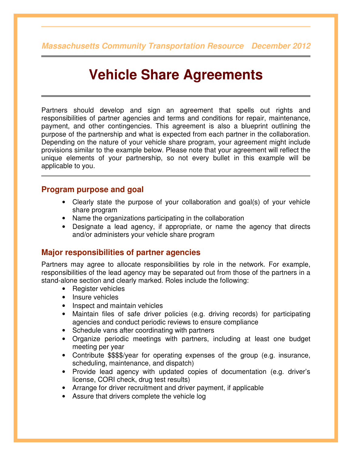**Massachusetts Community Transportation Resource December 2012**

# **Vehicle Share Agreements**

Partners should develop and sign an agreement that spells out rights and responsibilities of partner agencies and terms and conditions for repair, maintenance, payment, and other contingencies. This agreement is also a blueprint outlining the purpose of the partnership and what is expected from each partner in the collaboration. Depending on the nature of your vehicle share program, your agreement might include provisions similar to the example below. Please note that your agreement will reflect the unique elements of your partnership, so not every bullet in this example will be applicable to you.

#### **Program purpose and goal**

- Clearly state the purpose of your collaboration and goal(s) of your vehicle share program
- Name the organizations participating in the collaboration
- Designate a lead agency, if appropriate, or name the agency that directs and/or administers your vehicle share program

#### **Major responsibilities of partner agencies**

Partners may agree to allocate responsibilities by role in the network. For example, responsibilities of the lead agency may be separated out from those of the partners in a stand-alone section and clearly marked. Roles include the following:

- Register vehicles
- Insure vehicles
- Inspect and maintain vehicles
- Maintain files of safe driver policies (e.g. driving records) for participating agencies and conduct periodic reviews to ensure compliance
- Schedule vans after coordinating with partners
- Organize periodic meetings with partners, including at least one budget meeting per year
- Contribute \$\$\$\$/year for operating expenses of the group (e.g. insurance, scheduling, maintenance, and dispatch)
- Provide lead agency with updated copies of documentation (e.g. driver's license, CORI check, drug test results)
- Arrange for driver recruitment and driver payment, if applicable
- Assure that drivers complete the vehicle log